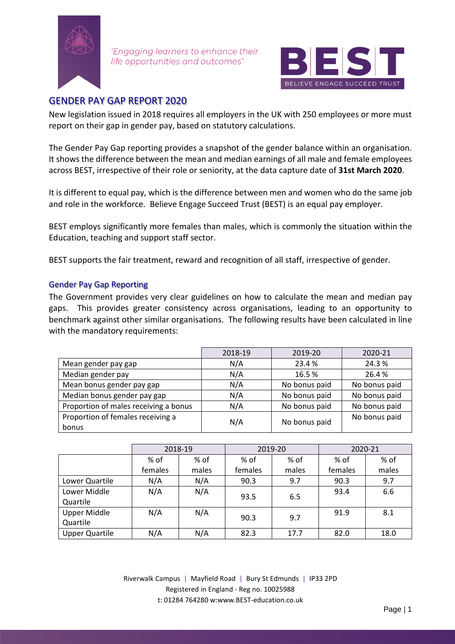

'Engaging learners to enhance their life opportunities and outcomes'



## GENDER PAY GAP REPORT 2020

New legislation issued in 2018 requires all employers in the UK with 250 employees or more must report on their gap in gender pay, based on statutory calculations.

The Gender Pay Gap reporting provides a snapshot of the gender balance within an organisation. It shows the difference between the mean and median earnings of all male and female employees across BEST, irrespective of their role or seniority, at the data capture date of **31st March 2020**.

It is different to equal pay, which is the difference between men and women who do the same job and role in the workforce. Believe Engage Succeed Trust (BEST) is an equal pay employer.

BEST employs significantly more females than males, which is commonly the situation within the Education, teaching and support staff sector.

BEST supports the fair treatment, reward and recognition of all staff, irrespective of gender.

## Gender Pay Gap Reporting

The Government provides very clear guidelines on how to calculate the mean and median pay gaps. This provides greater consistency across organisations, leading to an opportunity to benchmark against other similar organisations. The following results have been calculated in line with the mandatory requirements:

|                                       | 2018-19 | 2019-20       | 2020-21       |
|---------------------------------------|---------|---------------|---------------|
| Mean gender pay gap                   | N/A     | 23.4 %        | 24.3%         |
| Median gender pay                     | N/A     | 16.5%         | 26.4%         |
| Mean bonus gender pay gap             | N/A     | No bonus paid | No bonus paid |
| Median bonus gender pay gap           | N/A     | No bonus paid | No bonus paid |
| Proportion of males receiving a bonus | N/A     | No bonus paid | No bonus paid |
| Proportion of females receiving a     | N/A     | No bonus paid | No bonus paid |
| bonus                                 |         |               |               |

|                       | 2018-19 |       | 2019-20     |       | 2020-21 |       |
|-----------------------|---------|-------|-------------|-------|---------|-------|
|                       | % of    | % of  | % of        | % of  | % of    | % of  |
|                       | females | males | females     | males | females | males |
| Lower Quartile        | N/A     | N/A   | 90.3        | 9.7   | 90.3    | 9.7   |
| Lower Middle          | N/A     | N/A   | 6.5<br>93.5 |       | 93.4    | 6.6   |
| Quartile              |         |       |             |       |         |       |
| <b>Upper Middle</b>   | N/A     | N/A   | 90.3        | 9.7   | 91.9    | 8.1   |
| Quartile              |         |       |             |       |         |       |
| <b>Upper Quartile</b> | N/A     | N/A   | 82.3        | 17.7  | 82.0    | 18.0  |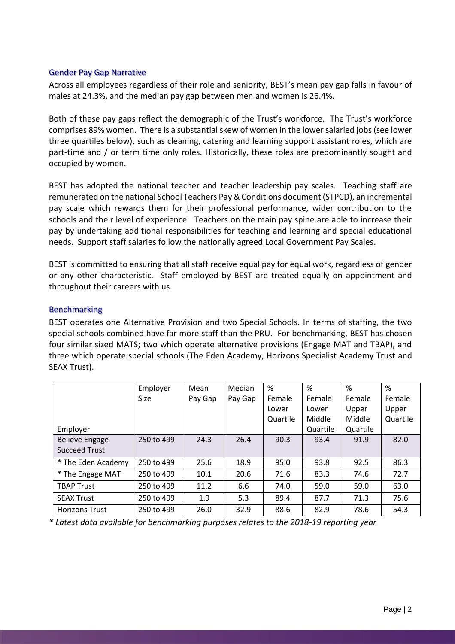## Gender Pay Gap Narrative

Across all employees regardless of their role and seniority, BEST's mean pay gap falls in favour of males at 24.3%, and the median pay gap between men and women is 26.4%.

Both of these pay gaps reflect the demographic of the Trust's workforce. The Trust's workforce comprises 89% women. There is a substantial skew of women in the lower salaried jobs (see lower three quartiles below), such as cleaning, catering and learning support assistant roles, which are part-time and / or term time only roles. Historically, these roles are predominantly sought and occupied by women.

BEST has adopted the national teacher and teacher leadership pay scales. Teaching staff are remunerated on the national School Teachers Pay & Conditions document (STPCD), an incremental pay scale which rewards them for their professional performance, wider contribution to the schools and their level of experience. Teachers on the main pay spine are able to increase their pay by undertaking additional responsibilities for teaching and learning and special educational needs. Support staff salaries follow the nationally agreed Local Government Pay Scales.

BEST is committed to ensuring that all staff receive equal pay for equal work, regardless of gender or any other characteristic. Staff employed by BEST are treated equally on appointment and throughout their careers with us.

## Benchmarking

BEST operates one Alternative Provision and two Special Schools. In terms of staffing, the two special schools combined have far more staff than the PRU. For benchmarking, BEST has chosen four similar sized MATS; two which operate alternative provisions (Engage MAT and TBAP), and three which operate special schools (The Eden Academy, Horizons Specialist Academy Trust and SEAX Trust).

|                       | Employer    | Mean    | Median  | %        | %        | %        | %        |
|-----------------------|-------------|---------|---------|----------|----------|----------|----------|
|                       | <b>Size</b> | Pay Gap | Pay Gap | Female   | Female   | Female   | Female   |
|                       |             |         |         | Lower    | Lower    | Upper    | Upper    |
|                       |             |         |         | Quartile | Middle   | Middle   | Quartile |
| Employer              |             |         |         |          | Quartile | Quartile |          |
| <b>Believe Engage</b> | 250 to 499  | 24.3    | 26.4    | 90.3     | 93.4     | 91.9     | 82.0     |
| <b>Succeed Trust</b>  |             |         |         |          |          |          |          |
| * The Eden Academy    | 250 to 499  | 25.6    | 18.9    | 95.0     | 93.8     | 92.5     | 86.3     |
| * The Engage MAT      | 250 to 499  | 10.1    | 20.6    | 71.6     | 83.3     | 74.6     | 72.7     |
| <b>TBAP Trust</b>     | 250 to 499  | 11.2    | 6.6     | 74.0     | 59.0     | 59.0     | 63.0     |
| <b>SEAX Trust</b>     | 250 to 499  | 1.9     | 5.3     | 89.4     | 87.7     | 71.3     | 75.6     |
| <b>Horizons Trust</b> | 250 to 499  | 26.0    | 32.9    | 88.6     | 82.9     | 78.6     | 54.3     |

*\* Latest data available for benchmarking purposes relates to the 2018-19 reporting year*